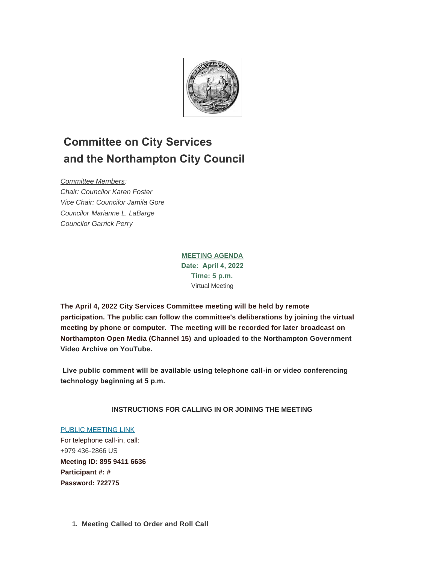

# **Committee on City Services and the Northampton City Council**

*Committee Members:*

*Chair: Councilor Karen Foster Vice Chair: Councilor Jamila Gore Councilor Marianne L. LaBarge Councilor Garrick Perry*

# **MEETING AGENDA Date: April 4, 2022 Time: 5 p.m.** Virtual Meeting

**The April 4, 2022 City Services Committee meeting will be held by remote participation. The public can follow the committee's deliberations by joining the virtual meeting by phone or computer. The meeting will be recorded for later broadcast on Northampton Open Media (Channel 15) and uploaded to the Northampton Government Video Archive on YouTube.**

 **Live public comment will be available using telephone call-in or video conferencing technology beginning at 5 p.m.** 

# **INSTRUCTIONS FOR CALLING IN OR JOINING THE MEETING**

# [PUBLIC MEETING LINK](https://us06web.zoom.us/j/89594116636?pwd=czBkeXVLZ29jSFNqUi9pNjBJTVRGZz09)

For telephone call-in, call: +979 436-2866 US **Meeting ID: 895 9411 6636 Participant #: # Password: 722775**

**Meeting Called to Order and Roll Call 1.**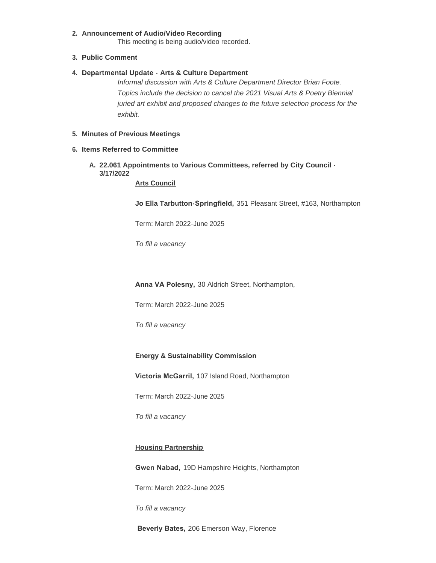#### **Announcement of Audio/Video Recording 2.**

This meeting is being audio/video recorded.

#### **Public Comment 3.**

#### **Departmental Update - Arts & Culture Department 4.**

*Informal discussion with Arts & Culture Department Director Brian Foote. Topics include the decision to cancel the 2021 Visual Arts & Poetry Biennial juried art exhibit and proposed changes to the future selection process for the exhibit.*

#### **Minutes of Previous Meetings 5.**

#### **Items Referred to Committee 6.**

**22.061 Appointments to Various Committees, referred by City Council - A. 3/17/2022**

**Arts Council**

**Jo Ella Tarbutton-Springfield,** 351 Pleasant Street, #163, Northampton

Term: March 2022-June 2025

*To fill a vacancy*

**Anna VA Polesny,** 30 Aldrich Street, Northampton,

Term: March 2022-June 2025

*To fill a vacancy*

### **Energy & Sustainability Commission**

**Victoria McGarril,** 107 Island Road, Northampton

Term: March 2022-June 2025

*To fill a vacancy*

## **Housing Partnership**

**Gwen Nabad,** 19D Hampshire Heights, Northampton

Term: March 2022-June 2025

*To fill a vacancy*

**Beverly Bates,** 206 Emerson Way, Florence